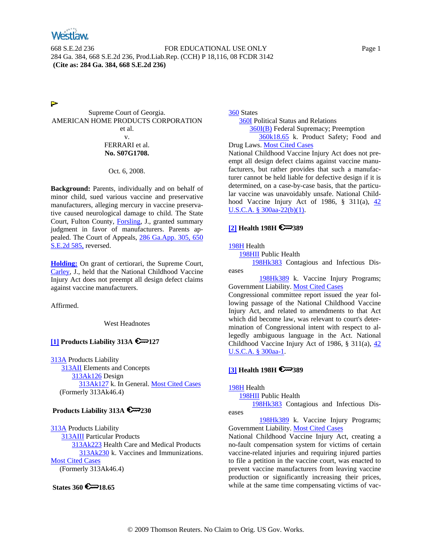

668 S.E.2d 236 FOR EDUCATIONAL USE ONLY Page 1 284 Ga. 384, 668 S.E.2d 236, Prod.Liab.Rep. (CCH) P 18,116, 08 FCDR 3142 **(Cite as: 284 Ga. 384, 668 S.E.2d 236)**

⋗

Supreme Court of Georgia. AMERICAN HOME PRODUCTS CORPORATION et al. v. FERRARI et al. **No. S07G1708.**

Oct. 6, 2008.

**Background:** Parents, individually and on behalf of minor child, sued various vaccine and preservative manufacturers, alleging mercury in vaccine preservative caused neurological damage to child. The State Court, Fulton County, Forsling, J., granted summary judgment in favor of manufacturers. Parents appealed. The Court of Appeals, 286 Ga.App. 305, 650 S.E.2d 585, reversed.

**Holding:** On grant of certiorari, the Supreme Court, Carley, J., held that the National Childhood Vaccine Injury Act does not preempt all design defect claims against vaccine manufacturers.

Affirmed.

West Headnotes

# **[1] Products Liability 313A 6**<sup>227</sup>

313A Products Liability 313AII Elements and Concepts 313Ak126 Design 313Ak127 k. In General. Most Cited Cases (Formerly 313Ak46.4)

## **Products Liability 313A 230**

313A Products Liability 313AIII Particular Products 313Ak223 Health Care and Medical Products 313Ak230 k. Vaccines and Immunizations. Most Cited Cases (Formerly 313Ak46.4)

**States 360 6 18.65** 

360 States 360I Political Status and Relations 360I(B) Federal Supremacy; Preemption 360k18.65 k. Product Safety; Food and Drug Laws. Most Cited Cases National Childhood Vaccine Injury Act does not pre-

empt all design defect claims against vaccine manufacturers, but rather provides that such a manufacturer cannot be held liable for defective design if it is determined, on a case-by-case basis, that the particular vaccine was unavoidably unsafe. National Childhood Vaccine Injury Act of 1986, § 311(a), 42 U.S.C.A. § 300aa-22(b)(1).

### **[2] Health 198H 6**<sup>2</sup>389

#### 198H Health

198HII Public Health

 198Hk383 Contagious and Infectious Diseases

198Hk389 k. Vaccine Injury Programs; Government Liability. Most Cited Cases

Congressional committee report issued the year following passage of the National Childhood Vaccine Injury Act, and related to amendments to that Act which did become law, was relevant to court's determination of Congressional intent with respect to allegedly ambiguous language in the Act. National Childhood Vaccine Injury Act of 1986, § 311(a),  $\frac{42}{3}$ U.S.C.A. § 300aa-1.

### **[3] Health 198H 6**<sup>2</sup>389

198H Health

198HII Public Health

 198Hk383 Contagious and Infectious Diseases

 198Hk389 k. Vaccine Injury Programs; Government Liability. Most Cited Cases

National Childhood Vaccine Injury Act, creating a no-fault compensation system for victims of certain vaccine-related injuries and requiring injured parties to file a petition in the vaccine court, was enacted to prevent vaccine manufacturers from leaving vaccine production or significantly increasing their prices, while at the same time compensating victims of vac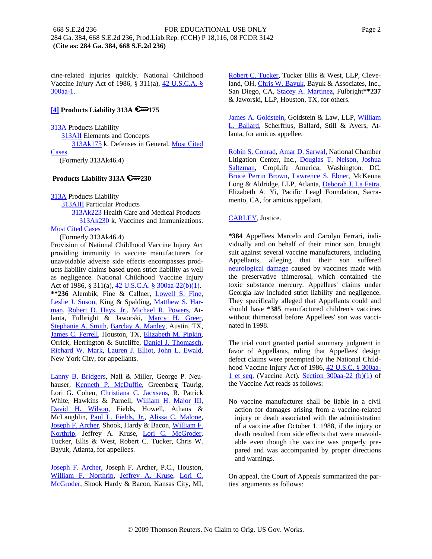cine-related injuries quickly. National Childhood Vaccine Injury Act of 1986, § 311(a), 42 U.S.C.A. § 300aa-1.

## **[4] Products Liability 313A 6**<sup>175</sup>

**313A** Products Liability 313AII Elements and Concepts 313Ak175 k. Defenses in General. Most Cited Cases (Formerly 313Ak46.4)

## **Products Liability 313A 230**

313A Products Liability

 313AIII Particular Products 313Ak223 Health Care and Medical Products

 313Ak230 k. Vaccines and Immunizations. Most Cited Cases

(Formerly 313Ak46.4)

Provision of National Childhood Vaccine Injury Act providing immunity to vaccine manufacturers for unavoidable adverse side effects encompasses products liability claims based upon strict liability as well as negligence. National Childhood Vaccine Injury Act of 1986, § 311(a), 42 U.S.C.A. § 300aa-22(b)(1). **\*\*236** Alembik, Fine & Callner, Lowell S. Fine, Leslie J. Suson, King & Spalding, Matthew S. Harman, Robert D. Hays, Jr., Michael R. Powers, Atlanta, Fulbright & Jaworski, Marcy H. Greer, Stephanie A. Smith, Barclay A. Manley, Austin, TX, James C. Ferrell, Houston, TX, Elizabeth M. Pipkin, Orrick, Herrington & Sutcliffe, Daniel J. Thomasch, Richard W. Mark, Lauren J. Elliot, John L. Ewald, New York City, for appellants.

Lanny B. Bridgers, Nall & Miller, George P. Neuhauser, Kenneth P. McDuffie, Greenberg Taurig, Lori G. Cohen, Christiana C. Jacxsens, R. Patrick White, Hawkins & Parnell, William H. Major III, David H. Wilson, Fields, Howell, Athans & McLaughlin, Paul L. Fields, Jr., Alissa C. Malone, Joseph F. Archer, Shook, Hardy & Bacon, William F. Northrip, Jeffrey A. Kruse, Lori C. McGroder, Tucker, Ellis & West, Robert C. Tucker, Chris W. Bayuk, Atlanta, for appellees.

Joseph F. Archer, Joseph F. Archer, P.C., Houston, William F. Northrip, Jeffrey A. Kruse, Lori C. McGroder, Shook Hardy & Bacon, Kansas City, MI, Robert C. Tucker, Tucker Ellis & West, LLP, Cleveland, OH, Chris W. Bayuk, Bayuk & Associates, Inc., San Diego, CA, Stacey A. Martinez, Fulbright**\*\*237** & Jaworski, LLP, Houston, TX, for others.

James A. Goldstein, Goldstein & Law, LLP, William L. Ballard, Scherffius, Ballard, Still & Ayers, Atlanta, for amicus appellee.

Robin S. Conrad, Amar D. Sarwal, National Chamber Litigation Center, Inc., Douglas T. Nelson, Joshua Saltzman, CropLife America, Washington, DC, Bruce Perrin Brown, Lawrence S. Ebner, McKenna Long & Aldridge, LLP, Atlanta, Deborah J. La Fetra, Elizabeth A. Yi, Pacific Leagl Foundation, Sacramento, CA, for amicus appellant.

### CARLEY, Justice.

**\*384** Appellees Marcelo and Carolyn Ferrari, individually and on behalf of their minor son, brought suit against several vaccine manufacturers, including Appellants, alleging that their son suffered neurological damage caused by vaccines made with the preservative thimerosal, which contained the toxic substance mercury. Appellees' claims under Georgia law included strict liability and negligence. They specifically alleged that Appellants could and should have **\*385** manufactured children's vaccines without thimerosal before Appellees' son was vaccinated in 1998.

The trial court granted partial summary judgment in favor of Appellants, ruling that Appellees' design defect claims were preempted by the National Childhood Vaccine Injury Act of 1986, 42 U.S.C. § 300aa-1 et seq. (Vaccine Act). Section 300aa-22 (b)(1) of the Vaccine Act reads as follows:

No vaccine manufacturer shall be liable in a civil action for damages arising from a vaccine-related injury or death associated with the administration of a vaccine after October 1, 1988, if the injury or death resulted from side effects that were unavoidable even though the vaccine was properly prepared and was accompanied by proper directions and warnings.

On appeal, the Court of Appeals summarized the parties' arguments as follows: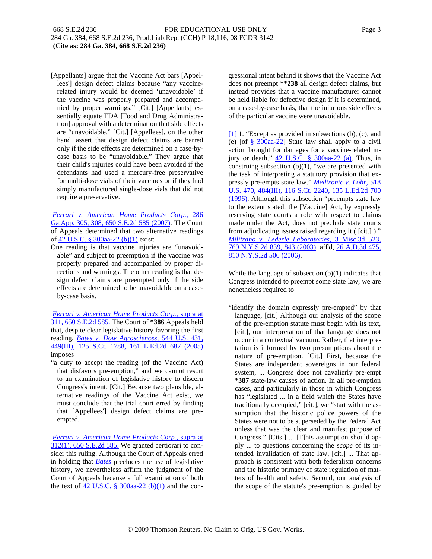[Appellants] argue that the Vaccine Act bars [Appellees'] design defect claims because "any vaccinerelated injury would be deemed 'unavoidable' if the vaccine was properly prepared and accompanied by proper warnings." [Cit.] [Appellants] essentially equate FDA [Food and Drug Administration] approval with a determination that side effects are "unavoidable." [Cit.] [Appellees], on the other hand, assert that design defect claims are barred only if the side effects are determined on a case-bycase basis to be "unavoidable." They argue that their child's injuries could have been avoided if the defendants had used a mercury-free preservative for multi-dose vials of their vaccines or if they had simply manufactured single-dose vials that did not require a preservative.

*Ferrari v. American Home Products Corp.,* 286 Ga.App. 305, 308, 650 S.E.2d 585 (2007). The Court of Appeals determined that two alternative readings of 42 U.S.C. § 300aa-22 (b)(1) exist:

One reading is that vaccine injuries are "unavoidable" and subject to preemption if the vaccine was properly prepared and accompanied by proper directions and warnings. The other reading is that design defect claims are preempted only if the side effects are determined to be unavoidable on a caseby-case basis.

*Ferrari v. American Home Products Corp.,* supra at 311, 650 S.E.2d 585. The Court of **\*386** Appeals held that, despite clear legislative history favoring the first reading, *Bates v. Dow Agrosciences,* 544 U.S. 431, 449(III), 125 S.Ct. 1788, 161 L.Ed.2d 687 (2005) imposes

"a duty to accept the reading (of the Vaccine Act) that disfavors pre-emption," and we cannot resort to an examination of legislative history to discern Congress's intent. [Cit.] Because two plausible, alternative readings of the Vaccine Act exist, we must conclude that the trial court erred by finding that [Appellees'] design defect claims are preempted.

*Ferrari v. American Home Products Corp.,* supra at 312(1), 650 S.E.2d 585. We granted certiorari to consider this ruling. Although the Court of Appeals erred in holding that *Bates* precludes the use of legislative history, we nevertheless affirm the judgment of the Court of Appeals because a full examination of both the text of 42 U.S.C.  $\S$  300aa-22 (b)(1) and the congressional intent behind it shows that the Vaccine Act does not preempt **\*\*238** all design defect claims, but instead provides that a vaccine manufacturer cannot be held liable for defective design if it is determined, on a case-by-case basis, that the injurious side effects of the particular vaccine were unavoidable.

[1] 1. "Except as provided in subsections (b), (c), and (e) [of  $\frac{8}{9}$  300aa-22] State law shall apply to a civil action brought for damages for a vaccine-related injury or death." 42 U.S.C. § 300aa-22 (a). Thus, in construing subsection  $(b)(1)$ , "we are presented with the task of interpreting a statutory provision that expressly pre-empts state law." *Medtronic v. Lohr,* 518 U.S. 470, 484(III), 116 S.Ct. 2240, 135 L.Ed.2d 700 (1996). Although this subsection "preempts state law to the extent stated, the [Vaccine] Act, by expressly reserving state courts a role with respect to claims made under the Act, does not preclude state courts from adjudicating issues raised regarding it ( [cit.] )." *Militrano v. Lederle Laboratories,* 3 Misc.3d 523, 769 N.Y.S.2d 839, 843 (2003), aff'd, 26 A.D.3d 475, 810 N.Y.S.2d 506 (2006).

While the language of subsection (b)(1) indicates that Congress intended to preempt some state law, we are nonetheless required to

"identify the domain expressly pre-empted" by that language, [cit.] Although our analysis of the scope of the pre-emption statute must begin with its text, [cit.], our interpretation of that language does not occur in a contextual vacuum. Rather, that interpretation is informed by two presumptions about the nature of pre-emption. [Cit.] First, because the States are independent sovereigns in our federal system, ... Congress does not cavalierly pre-empt **\*387** state-law causes of action. In all pre-emption cases, and particularly in those in which Congress has "legislated ... in a field which the States have traditionally occupied," [cit.], we "start with the assumption that the historic police powers of the States were not to be superseded by the Federal Act unless that was the clear and manifest purpose of Congress." [Cits.] ... [T]his assumption should apply ... to questions concerning the *scope* of its intended invalidation of state law, [cit.] ... That approach is consistent with both federalism concerns and the historic primacy of state regulation of matters of health and safety. Second, our analysis of the scope of the statute's pre-emption is guided by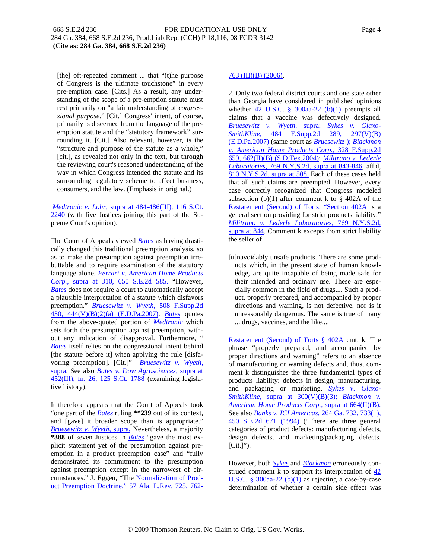[the] oft-repeated comment ... that "(t)he purpose of Congress is the ultimate touchstone" in every pre-emption case. [Cits.] As a result, any understanding of the scope of a pre-emption statute must rest primarily on "a fair understanding of *congressional purpose.*" [Cit.] Congress' intent, of course, primarily is discerned from the language of the preemption statute and the "statutory framework" surrounding it. [Cit.] Also relevant, however, is the "structure and purpose of the statute as a whole," [cit.], as revealed not only in the text, but through the reviewing court's reasoned understanding of the way in which Congress intended the statute and its surrounding regulatory scheme to affect business, consumers, and the law. (Emphasis in original.)

*Medtronic v. Lohr,* supra at 484-486(III), 116 S.Ct. 2240 (with five Justices joining this part of the Supreme Court's opinion).

The Court of Appeals viewed *Bates* as having drastically changed this traditional preemption analysis, so as to make the presumption against preemption irrebuttable and to require examination of the statutory language alone. *Ferrari v. American Home Products Corp.,* supra at 310, 650 S.E.2d 585. "However, *Bates* does not require a court to automatically accept a plausible interpretation of a statute which disfavors preemption." *Bruesewitz v. Wyeth,* 508 F.Supp.2d 430, 444(V)(B)(2)(a) (E.D.Pa.2007). *Bates* quotes from the above-quoted portion of *Medtronic* which sets forth the presumption against preemption, without any indication of disapproval. Furthermore, " *Bates* itself relies on the congressional intent behind [the statute before it] when applying the rule [disfavoring preemption]. [Cit.]" *Bruesewitz v. Wyeth,* supra. See also *Bates v. Dow Agrosciences,* supra at 452(III), fn. 26, 125 S.Ct. 1788 (examining legislative history).

It therefore appears that the Court of Appeals took "one part of the *Bates* ruling **\*\*239** out of its context, and [gave] it broader scope than is appropriate." *Bruesewitz v. Wyeth,* supra. Nevertheless, a majority **\*388** of seven Justices in *Bates* "gave the most explicit statement yet of the presumption against preemption in a product preemption case" and "fully demonstrated its commitment to the presumption against preemption except in the narrowest of circumstances." J. Eggen, "The Normalization of Product Preemption Doctrine," 57 Ala. L.Rev. 725, 762-

## 763 (III)(B) (2006).

2. Only two federal district courts and one state other than Georgia have considered in published opinions whether 42 U.S.C.  $\S$  300aa-22 (b)(1) preempts all claims that a vaccine was defectively designed. *Bruesewitz v. Wyeth,* supra; *Sykes v. Glaxo-SmithKline,* 484 F.Supp.2d 289, 297(V)(B) (E.D.Pa.2007) (same court as *Bruesewitz* ); *Blackmon v. American Home Products Corp.,* 328 F.Supp.2d 659, 662(II)(B) (S.D.Tex.2004); *Militrano v. Lederle Laboratories,* 769 N.Y.S.2d, supra at 843-846, aff'd, 810 N.Y.S.2d, supra at 508. Each of these cases held that all such claims are preempted. However, every case correctly recognized that Congress modeled subsection (b)(1) after comment k to  $\S$  402A of the Restatement (Second) of Torts. "Section 402A is a general section providing for strict products liability." *Militrano v. Lederle Laboratories,* 769 N.Y.S.2d, supra at 844. Comment k excepts from strict liability the seller of

[u]navoidably unsafe products. There are some products which, in the present state of human knowledge, are quite incapable of being made safe for their intended and ordinary use. These are especially common in the field of drugs.... Such a product, properly prepared, and accompanied by proper directions and warning, is not defective, nor is it unreasonably dangerous. The same is true of many ... drugs, vaccines, and the like....

Restatement (Second) of Torts § 402A cmt. k. The phrase "properly prepared, and accompanied by proper directions and warning" refers to an absence of manufacturing or warning defects and, thus, comment k distinguishes the three fundamental types of products liability: defects in design, manufacturing, and packaging or marketing. *Sykes v. Glaxo-SmithKline,* supra at 300(V)(B)(3); *Blackmon v. American Home Products Corp.,* supra at 664(II)(B). See also *Banks v. ICI Americas,* 264 Ga. 732, 733(1), 450 S.E.2d 671 (1994) ("There are three general categories of product defects: manufacturing defects, design defects, and marketing/packaging defects.  $[Cit.]$ ").

However, both *Sykes* and *Blackmon* erroneously construed comment k to support its interpretation of 42 U.S.C. §  $300aa-22$  (b)(1) as rejecting a case-by-case determination of whether a certain side effect was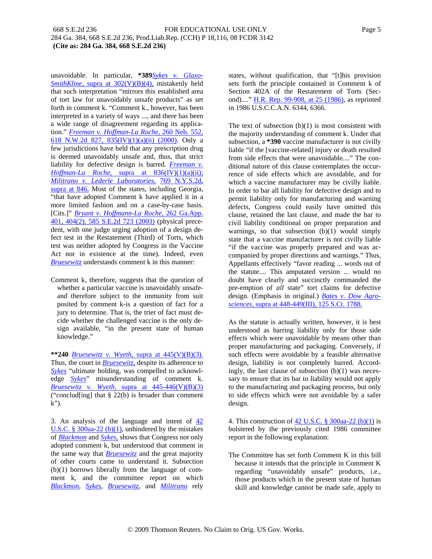unavoidable. In particular, **\*389***Sykes v. Glaxo-SmithKline,* supra at 302(V)(B)(4), mistakenly held that such interpretation "mirrors this established area of tort law for unavoidably unsafe products" as set forth in comment k. "Comment k., however, has been interpreted in a variety of ways ..., and there has been a wide range of disagreement regarding its application." *Freeman v. Hoffman-La Roche,* 260 Neb. 552, 618 N.W.2d 827, 835(IV)(1)(a)(ii) (2000). Only a few jurisdictions have held that any prescription drug is deemed unavoidably unsafe and, thus, that strict liability for defective design is barred. **Freeman** v. *Hoffman-La Roche,* supra at 836(IV)(1)(a)(ii); *Militrano v. Lederle Laboratories,* 769 N.Y.S.2d, supra at 846. Most of the states, including Georgia, "that have adopted Comment k have applied it in a more limited fashion and on a case-by-case basis. [Cits.]" *Bryant v. Hoffmann-La Roche,* 262 Ga.App. 401, 404(2), 585 S.E.2d 723 (2003) (physical precedent, with one judge urging adoption of a design defect test in the Restatement (Third) of Torts, which test was neither adopted by Congress in the Vaccine Act nor in existence at the time). Indeed, even *Bruesewitz* understands comment k in this manner:

Comment k, therefore, suggests that the question of whether a particular vaccine is unavoidably unsafeand therefore subject to the immunity from suit posited by comment k-is a question of fact for a jury to determine. That is, the trier of fact must decide whether the challenged vaccine is the only design available, "in the present state of human knowledge."

**\*\*240** *Bruesewitz v. Wyeth,* supra at 445(V)(B)(3). Thus, the court in *Bruesewitz,* despite its adherence to *Sykes* "ultimate holding, was compelled to acknowledge *Sykes*" misunderstanding of comment k. *Bruesewitz v. Wyeth,* supra at 445-446(V)(B)(3) ("conclud[ing] that § 22(b) is broader than comment k").

3. An analysis of the language and intent of 42 U.S.C. § 300aa-22 (b) $(1)$ , unhindered by the mistakes of *Blackmon* and *Sykes,* shows that Congress not only adopted comment k, but understood that comment in the same way that *Bruesewitz* and the great majority of other courts came to understand it. Subsection (b)(1) borrows liberally from the language of comment k, and the committee report on which *Blackmon, Sykes, Bruesewitz*, and *Militrano* rely

states, without qualification, that "[t]his provision sets forth the principle contained in Comment k of Section 402A of the Restatement of Torts (Second)...." H.R. Rep. 99-908, at 25 (1986), as reprinted in 1986 U.S.C.C.A.N. 6344, 6366.

The text of subsection  $(b)(1)$  is most consistent with the majority understanding of comment k. Under that subsection, a **\*390** vaccine manufacturer is not civilly liable "if the [vaccine-related] injury or death resulted from side effects that were unavoidable...." The conditional nature of this clause contemplates the occurrence of side effects which are avoidable, and for which a vaccine manufacturer may be civilly liable. In order to bar all liability for defective design and to permit liability only for manufacturing and warning defects, Congress could easily have omitted this clause, retained the last clause, and made the bar to civil liability conditional on proper preparation and warnings, so that subsection  $(b)(1)$  would simply state that a vaccine manufacturer is not civilly liable "if the vaccine was properly prepared and was accompanied by proper directions and warnings." Thus, Appellants effectively "favor reading ... words out of the statute.... This amputated version ... would no doubt have clearly and succinctly commanded the pre-emption of *all* state" tort claims for defective design. (Emphasis in original.) *Bates v. Dow Agrosciences,* supra at 448-449(III), 125 S.Ct. 1788.

As the statute is actually written, however, it is best understood as barring liability only for those side effects which were unavoidable by means other than proper manufacturing and packaging. Conversely, if such effects were avoidable by a feasible alternative design, liability is not completely barred. Accordingly, the last clause of subsection (b)(1) was necessary to ensure that its bar to liability would not apply to the manufacturing and packaging process, but only to side effects which were not avoidable by a safer design.

4. This construction of  $42$  U.S.C. § 300aa-22 (b)(1) is bolstered by the previously cited 1986 committee report in the following explanation:

The Committee has set forth Comment K in this bill because it intends that the principle in Comment K regarding "unavoidably unsafe" products, i.e., those products which in the present state of human skill and knowledge cannot be made safe, apply to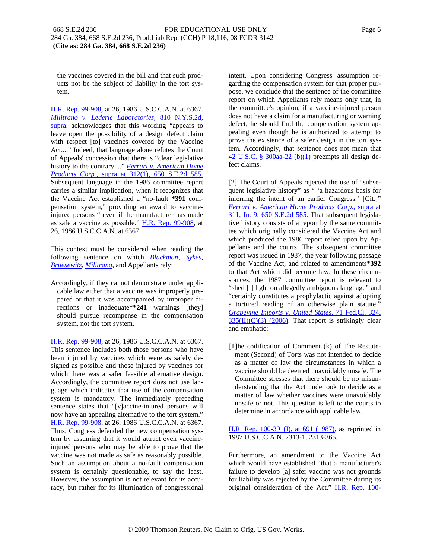the vaccines covered in the bill and that such products not be the subject of liability in the tort system.

H.R. Rep. 99-908, at 26, 1986 U.S.C.C.A.N. at 6367. *Militrano v. Lederle Laboratories,* 810 N.Y.S.2d, supra, acknowledges that this wording "appears to leave open the possibility of a design defect claim with respect [to] vaccines covered by the Vaccine Act...." Indeed, that language alone refutes the Court of Appeals' concession that there is "clear legislative history to the contrary...." *Ferrari v. American Home Products Corp.,* supra at 312(1), 650 S.E.2d 585. Subsequent language in the 1986 committee report carries a similar implication, when it recognizes that the Vaccine Act established a "no-fault **\*391** compensation system," providing an award to vaccineinjured persons " even if the manufacturer has made as safe a vaccine as possible." H.R. Rep. 99-908, at 26, 1986 U.S.C.C.A.N. at 6367.

This context must be considered when reading the following sentence on which *Blackmon, Sykes, Bruesewitz, Militrano*, and Appellants rely:

Accordingly, if they cannot demonstrate under applicable law either that a vaccine was improperly prepared or that it was accompanied by improper directions or inadequate**\*\*241** warnings [they] should pursue recompense in the compensation system, not the tort system.

H.R. Rep. 99-908, at 26, 1986 U.S.C.C.A.N. at 6367. This sentence includes both those persons who have been injured by vaccines which were as safely designed as possible and those injured by vaccines for which there was a safer feasible alternative design. Accordingly, the committee report does not use language which indicates that use of the compensation system is mandatory. The immediately preceding sentence states that "[v]accine-injured persons will now have an appealing alternative to the tort system." H.R. Rep. 99-908, at 26, 1986 U.S.C.C.A.N. at 6367. Thus, Congress defended the new compensation system by assuming that it would attract even vaccineinjured persons who may be able to prove that the vaccine was not made as safe as reasonably possible. Such an assumption about a no-fault compensation system is certainly questionable, to say the least. However, the assumption is not relevant for its accuracy, but rather for its illumination of congressional intent. Upon considering Congress' assumption regarding the compensation system for that proper purpose, we conclude that the sentence of the committee report on which Appellants rely means only that, in the committee's opinion, if a vaccine-injured person does not have a claim for a manufacturing or warning defect, he should find the compensation system appealing even though he is authorized to attempt to prove the existence of a safer design in the tort system. Accordingly, that sentence does not mean that  $42 \text{ U.S.C. }$  § 300aa-22 (b)(1) preempts all design defect claims.

[2] The Court of Appeals rejected the use of "subsequent legislative history" as " 'a hazardous basis for inferring the intent of an earlier Congress.' [Cit.]" *Ferrari v. American Home Products Corp.,* supra at 311, fn. 9, 650 S.E.2d 585. That subsequent legislative history consists of a report by the same committee which originally considered the Vaccine Act and which produced the 1986 report relied upon by Appellants and the courts. The subsequent committee report was issued in 1987, the year following passage of the Vaccine Act, and related to amendments**\*392** to that Act which did become law. In these circumstances, the 1987 committee report is relevant to "shed [ ] light on allegedly ambiguous language" and "certainly constitutes a prophylactic against adopting a tortured reading of an otherwise plain statute." *Grapevine Imports v. United States,* 71 Fed.Cl. 324,  $335(\text{II})(\text{C})(3)$  (2006). That report is strikingly clear and emphatic:

[T]he codification of Comment (k) of The Restatement (Second) of Torts was not intended to decide as a matter of law the circumstances in which a vaccine should be deemed unavoidably unsafe. The Committee stresses that there should be no misunderstanding that the Act undertook to decide as a matter of law whether vaccines were unavoidably unsafe or not. This question is left to the courts to determine in accordance with applicable law.

H.R. Rep. 100-391(I), at 691 (1987), as reprinted in 1987 U.S.C.C.A.N. 2313-1, 2313-365.

Furthermore, an amendment to the Vaccine Act which would have established "that a manufacturer's failure to develop [a] safer vaccine was not grounds for liability was rejected by the Committee during its original consideration of the Act." H.R. Rep. 100-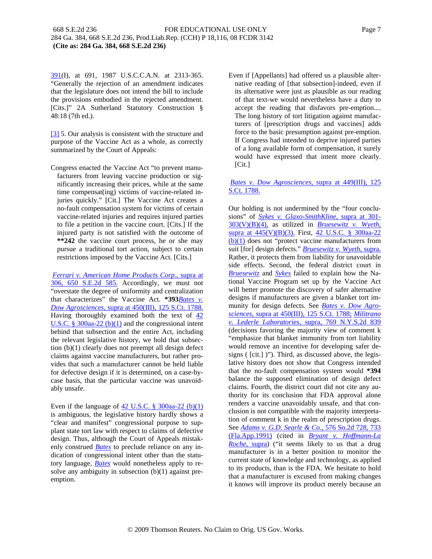391(I), at 691, 1987 U.S.C.C.A.N. at 2313-365. "Generally the rejection of an amendment indicates that the legislature does not intend the bill to include the provisions embodied in the rejected amendment. [Cits.]" 2A Sutherland Statutory Construction § 48:18 (7th ed.).

[3] 5. Our analysis is consistent with the structure and purpose of the Vaccine Act as a whole, as correctly summarized by the Court of Appeals:

Congress enacted the Vaccine Act "to prevent manufacturers from leaving vaccine production or significantly increasing their prices, while at the same time compensat(ing) victims of vaccine-related injuries quickly." [Cit.] The Vaccine Act creates a no-fault compensation system for victims of certain vaccine-related injuries and requires injured parties to file a petition in the vaccine court. [Cits.] If the injured party is not satisfied with the outcome of **\*\*242** the vaccine court process, he or she may pursue a traditional tort action, subject to certain restrictions imposed by the Vaccine Act. [Cits.]

*Ferrari v. American Home Products Corp.,* supra at 306, 650 S.E.2d 585. Accordingly, we must not "overstate the degree of uniformity and centralization that characterizes" the Vaccine Act. **\*393***Bates v. Dow Agrosciences,* supra at 450(III), 125 S.Ct. 1788. Having thoroughly examined both the text of  $\frac{42}{3}$ U.S.C. § 300aa-22 (b) $(1)$  and the congressional intent behind that subsection and the entire Act, including the relevant legislative history, we hold that subsection (b)(1) clearly does not preempt all design defect claims against vaccine manufacturers, but rather provides that such a manufacturer cannot be held liable for defective design if it is determined, on a case-bycase basis, that the particular vaccine was unavoidably unsafe.

Even if the language of  $42$  U.S.C. § 300aa-22 (b)(1) is ambiguous, the legislative history hardly shows a "clear and manifest" congressional purpose to supplant state tort law with respect to claims of defective design. Thus, although the Court of Appeals mistakenly construed *Bates* to preclude reliance on any indication of congressional intent other than the statutory language, *Bates* would nonetheless apply to resolve any ambiguity in subsection  $(b)(1)$  against preemption.

Even if [Appellants] had offered us a plausible alternative reading of [that subsection]-indeed, even if its alternative were just as plausible as our reading of that text-we would nevertheless have a duty to accept the reading that disfavors pre-emption.... The long history of tort litigation against manufacturers of [prescription drugs and vaccines] adds force to the basic presumption against pre-emption. If Congress had intended to deprive injured parties of a long available form of compensation, it surely would have expressed that intent more clearly. [Cit.]

## *Bates v. Dow Agrosciences,* supra at 449(III), 125 S.Ct. 1788.

Our holding is not undermined by the "four conclusions" of *Sykes v. Glaxo-SmithKline,* supra at 301- 303(V)(B)(4), as utilized in *Bruesewitz v. Wyeth,* supra at 445(V)(B)(3). First, 42 U.S.C. § 300aa-22 (b)(1) does not "protect vaccine manufacturers from suit [for] design defects." *Bruesewitz v. Wyeth,* supra. Rather, it protects them from liability for unavoidable side effects. Second, the federal district court in *Bruesewitz* and *Sykes* failed to explain how the National Vaccine Program set up by the Vaccine Act will better promote the discovery of safer alternative designs if manufacturers are given a blanket tort immunity for design defects. See *Bates v. Dow Agrosciences,* supra at 450(III), 125 S.Ct. 1788; *Militrano v. Lederle Laboratories,* supra, 769 N.Y.S.2d 839 (decisions favoring the majority view of comment k "emphasize that blanket immunity from tort liability would remove an incentive for developing safer designs ( [cit.] )"). Third, as discussed above, the legislative history does not show that Congress intended that the no-fault compensation system would **\*394** balance the supposed elimination of design defect claims. Fourth, the district court did not cite any authority for its conclusion that FDA approval alone renders a vaccine unavoidably unsafe, and that conclusion is not compatible with the majority interpretation of comment k in the realm of prescription drugs. See *Adams v. G.D. Searle & Co.,* 576 So.2d 728, 733 (Fla.App.1991) (cited in *Bryant v. Hoffmann-La Roche,* supra) ("it seems likely to us that a drug manufacturer is in a better position to monitor the current state of knowledge and technology, as applied to its products, than is the FDA. We hesitate to hold that a manufacturer is excused from making changes it knows will improve its product merely because an